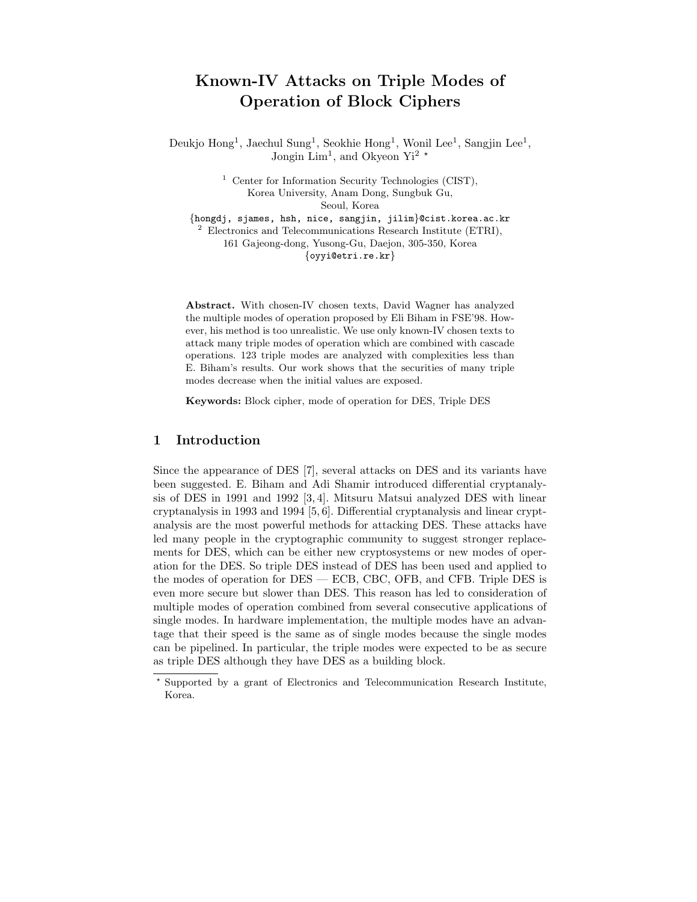# Known-IV Attacks on Triple Modes of Operation of Block Ciphers

Deukjo Hong<sup>1</sup>, Jaechul Sung<sup>1</sup>, Seokhie Hong<sup>1</sup>, Wonil Lee<sup>1</sup>, Sangjin Lee<sup>1</sup>, Jongin Lim<sup>1</sup>, and Okyeon Yi<sup>2</sup>  $\star$ 

> <sup>1</sup> Center for Information Security Technologies (CIST), Korea University, Anam Dong, Sungbuk Gu, Seoul, Korea

{hongdj, sjames, hsh, nice, sangjin, jilim}@cist.korea.ac.kr  $2$  Electronics and Telecommunications Research Institute (ETRI), 161 Gajeong-dong, Yusong-Gu, Daejon, 305-350, Korea {oyyi@etri.re.kr}

Abstract. With chosen-IV chosen texts, David Wagner has analyzed the multiple modes of operation proposed by Eli Biham in FSE'98. However, his method is too unrealistic. We use only known-IV chosen texts to attack many triple modes of operation which are combined with cascade operations. 123 triple modes are analyzed with complexities less than E. Biham's results. Our work shows that the securities of many triple modes decrease when the initial values are exposed.

Keywords: Block cipher, mode of operation for DES, Triple DES

## 1 Introduction

Since the appearance of DES [7], several attacks on DES and its variants have been suggested. E. Biham and Adi Shamir introduced differential cryptanalysis of DES in 1991 and 1992 [3, 4]. Mitsuru Matsui analyzed DES with linear cryptanalysis in 1993 and 1994 [5, 6]. Differential cryptanalysis and linear cryptanalysis are the most powerful methods for attacking DES. These attacks have led many people in the cryptographic community to suggest stronger replacements for DES, which can be either new cryptosystems or new modes of operation for the DES. So triple DES instead of DES has been used and applied to the modes of operation for DES — ECB, CBC, OFB, and CFB. Triple DES is even more secure but slower than DES. This reason has led to consideration of multiple modes of operation combined from several consecutive applications of single modes. In hardware implementation, the multiple modes have an advantage that their speed is the same as of single modes because the single modes can be pipelined. In particular, the triple modes were expected to be as secure as triple DES although they have DES as a building block.

<sup>?</sup> Supported by a grant of Electronics and Telecommunication Research Institute, Korea.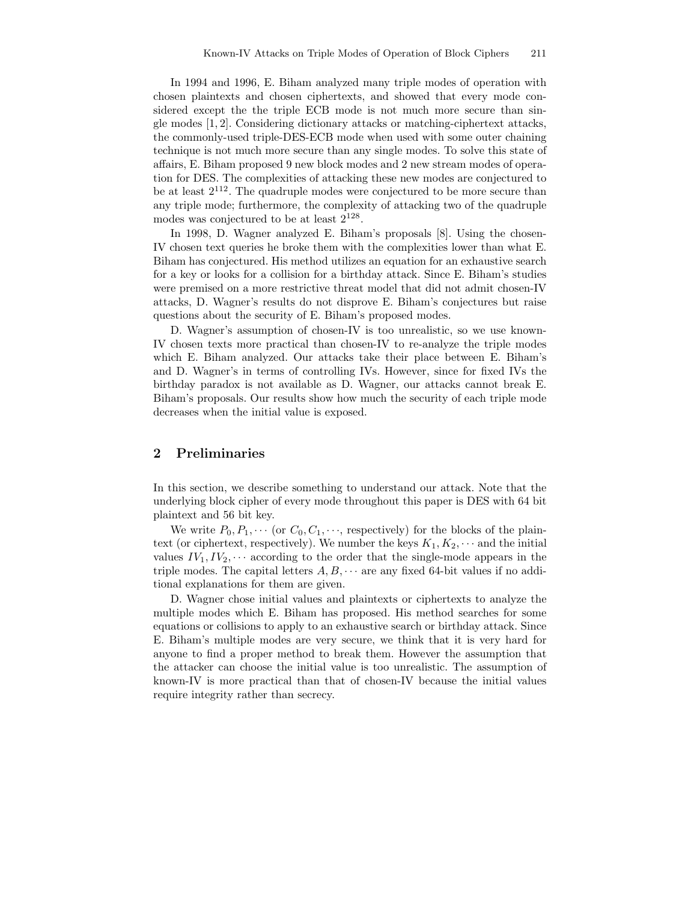In 1994 and 1996, E. Biham analyzed many triple modes of operation with chosen plaintexts and chosen ciphertexts, and showed that every mode considered except the the triple ECB mode is not much more secure than single modes [1, 2]. Considering dictionary attacks or matching-ciphertext attacks, the commonly-used triple-DES-ECB mode when used with some outer chaining technique is not much more secure than any single modes. To solve this state of affairs, E. Biham proposed 9 new block modes and 2 new stream modes of operation for DES. The complexities of attacking these new modes are conjectured to be at least  $2^{112}$ . The quadruple modes were conjectured to be more secure than any triple mode; furthermore, the complexity of attacking two of the quadruple modes was conjectured to be at least  $2^{128}$ .

In 1998, D. Wagner analyzed E. Biham's proposals [8]. Using the chosen-IV chosen text queries he broke them with the complexities lower than what E. Biham has conjectured. His method utilizes an equation for an exhaustive search for a key or looks for a collision for a birthday attack. Since E. Biham's studies were premised on a more restrictive threat model that did not admit chosen-IV attacks, D. Wagner's results do not disprove E. Biham's conjectures but raise questions about the security of E. Biham's proposed modes.

D. Wagner's assumption of chosen-IV is too unrealistic, so we use known-IV chosen texts more practical than chosen-IV to re-analyze the triple modes which E. Biham analyzed. Our attacks take their place between E. Biham's and D. Wagner's in terms of controlling IVs. However, since for fixed IVs the birthday paradox is not available as D. Wagner, our attacks cannot break E. Biham's proposals. Our results show how much the security of each triple mode decreases when the initial value is exposed.

# 2 Preliminaries

In this section, we describe something to understand our attack. Note that the underlying block cipher of every mode throughout this paper is DES with 64 bit plaintext and 56 bit key.

We write  $P_0, P_1, \cdots$  (or  $C_0, C_1, \cdots$ , respectively) for the blocks of the plaintext (or ciphertext, respectively). We number the keys  $K_1, K_2, \cdots$  and the initial values  $IV_1, IV_2, \cdots$  according to the order that the single-mode appears in the triple modes. The capital letters  $A, B, \cdots$  are any fixed 64-bit values if no additional explanations for them are given.

D. Wagner chose initial values and plaintexts or ciphertexts to analyze the multiple modes which E. Biham has proposed. His method searches for some equations or collisions to apply to an exhaustive search or birthday attack. Since E. Biham's multiple modes are very secure, we think that it is very hard for anyone to find a proper method to break them. However the assumption that the attacker can choose the initial value is too unrealistic. The assumption of known-IV is more practical than that of chosen-IV because the initial values require integrity rather than secrecy.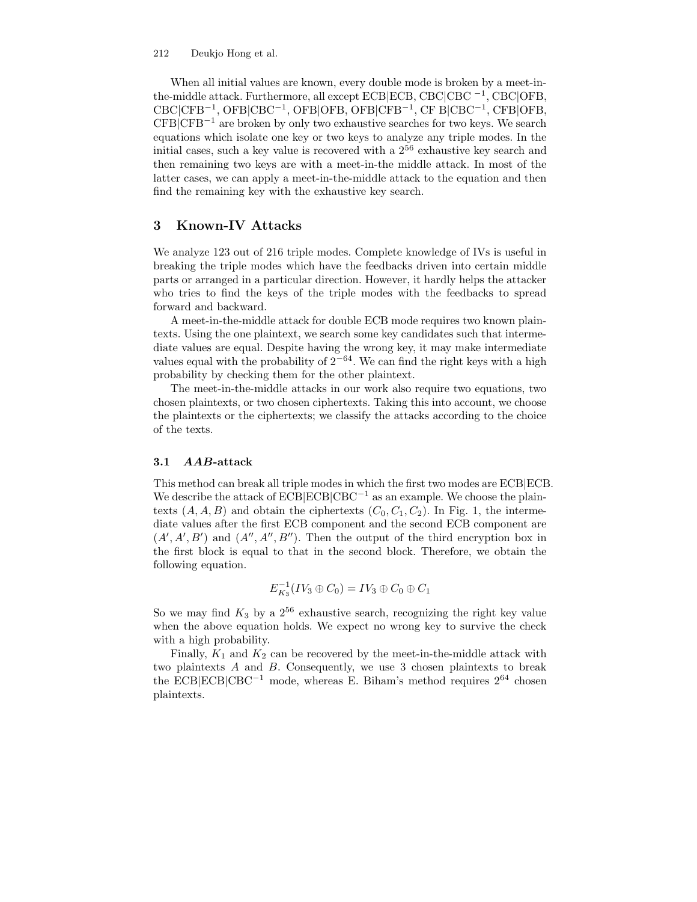#### 212 Deukjo Hong et al.

When all initial values are known, every double mode is broken by a meet-inthe-middle attack. Furthermore, all except ECB|ECB, CBC|CBC <sup>−</sup><sup>1</sup> , CBC|OFB, CBC|CFB<sup>−</sup><sup>1</sup> , OFB|CBC<sup>−</sup><sup>1</sup> , OFB|OFB, OFB|CFB<sup>−</sup><sup>1</sup> , CF B|CBC<sup>−</sup><sup>1</sup> , CFB|OFB,  $CFB|CFB^{-1}$  are broken by only two exhaustive searches for two keys. We search equations which isolate one key or two keys to analyze any triple modes. In the initial cases, such a key value is recovered with a 2 <sup>56</sup> exhaustive key search and then remaining two keys are with a meet-in-the middle attack. In most of the latter cases, we can apply a meet-in-the-middle attack to the equation and then find the remaining key with the exhaustive key search.

# 3 Known-IV Attacks

We analyze 123 out of 216 triple modes. Complete knowledge of IVs is useful in breaking the triple modes which have the feedbacks driven into certain middle parts or arranged in a particular direction. However, it hardly helps the attacker who tries to find the keys of the triple modes with the feedbacks to spread forward and backward.

A meet-in-the-middle attack for double ECB mode requires two known plaintexts. Using the one plaintext, we search some key candidates such that intermediate values are equal. Despite having the wrong key, it may make intermediate values equal with the probability of  $2^{-64}$ . We can find the right keys with a high probability by checking them for the other plaintext.

The meet-in-the-middle attacks in our work also require two equations, two chosen plaintexts, or two chosen ciphertexts. Taking this into account, we choose the plaintexts or the ciphertexts; we classify the attacks according to the choice of the texts.

#### 3.1 AAB-attack

This method can break all triple modes in which the first two modes are ECB|ECB. We describe the attack of  $ECB|CCB|CBC^{-1}$  as an example. We choose the plaintexts  $(A, A, B)$  and obtain the ciphertexts  $(C_0, C_1, C_2)$ . In Fig. 1, the intermediate values after the first ECB component and the second ECB component are  $(A', A', B')$  and  $(A'', A'', B'')$ . Then the output of the third encryption box in the first block is equal to that in the second block. Therefore, we obtain the following equation.

$$
E_{K_3}^{-1}(IV_3 \oplus C_0) = IV_3 \oplus C_0 \oplus C_1
$$

So we may find  $K_3$  by a  $2^{56}$  exhaustive search, recognizing the right key value when the above equation holds. We expect no wrong key to survive the check with a high probability.

Finally,  $K_1$  and  $K_2$  can be recovered by the meet-in-the-middle attack with two plaintexts A and B. Consequently, we use 3 chosen plaintexts to break the ECB|ECB|CBC<sup>−</sup><sup>1</sup> mode, whereas E. Biham's method requires 2 <sup>64</sup> chosen plaintexts.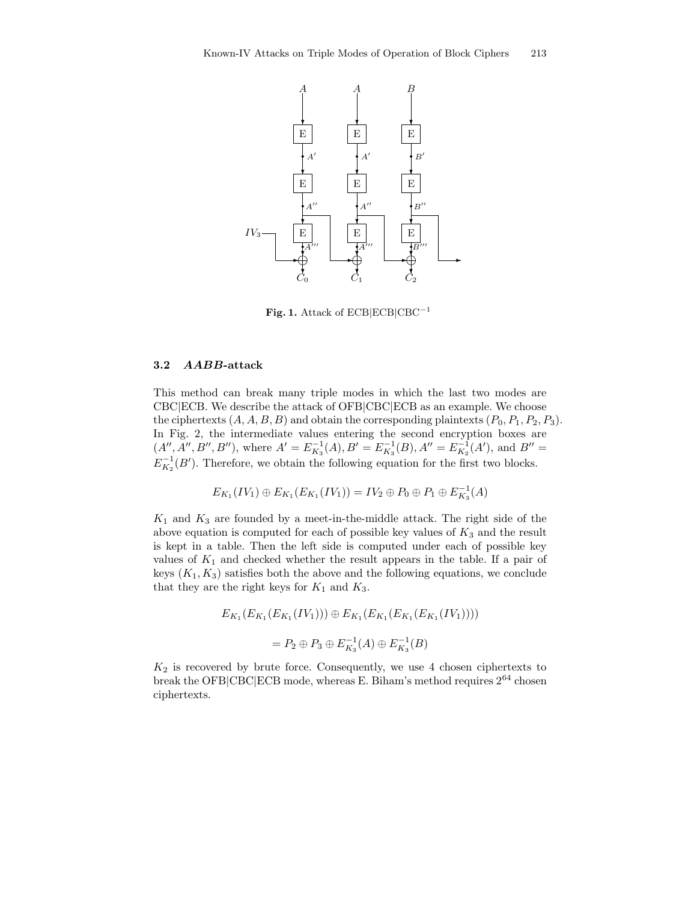

Fig. 1. Attack of  $ECB|ECB|CBC^{-1}$ 

#### 3.2 AABB-attack

This method can break many triple modes in which the last two modes are CBC|ECB. We describe the attack of OFB|CBC|ECB as an example. We choose the ciphertexts  $(A, A, B, B)$  and obtain the corresponding plaintexts  $(P_0, P_1, P_2, P_3)$ . In Fig. 2, the intermediate values entering the second encryption boxes are  $(A'', A'', B'', B'')$ , where  $A' = E_{K_3}^{-1}(A), B' = E_{K_3}^{-1}(B), A'' = E_{K_2}^{-1}(A'),$  and  $B'' =$  $E_{K_2}^{-1}(B')$ . Therefore, we obtain the following equation for the first two blocks.

$$
E_{K_1}(IV_1) \oplus E_{K_1}(E_{K_1}(IV_1)) = IV_2 \oplus P_0 \oplus P_1 \oplus E_{K_3}^{-1}(A)
$$

 $K_1$  and  $K_3$  are founded by a meet-in-the-middle attack. The right side of the above equation is computed for each of possible key values of  $K_3$  and the result is kept in a table. Then the left side is computed under each of possible key values of  $K_1$  and checked whether the result appears in the table. If a pair of keys  $(K_1, K_3)$  satisfies both the above and the following equations, we conclude that they are the right keys for  $K_1$  and  $K_3$ .

$$
E_{K_1}(E_{K_1}(E_{K_1}(IV_1))) \oplus E_{K_1}(E_{K_1}(E_{K_1}(E_{K_1}(IV_1))))
$$
  
=  $P_2 \oplus P_3 \oplus E_{K_3}^{-1}(A) \oplus E_{K_3}^{-1}(B)$ 

 $K_2$  is recovered by brute force. Consequently, we use 4 chosen ciphertexts to break the OFB|CBC|ECB mode, whereas E. Biham's method requires  $2^{64}$  chosen ciphertexts.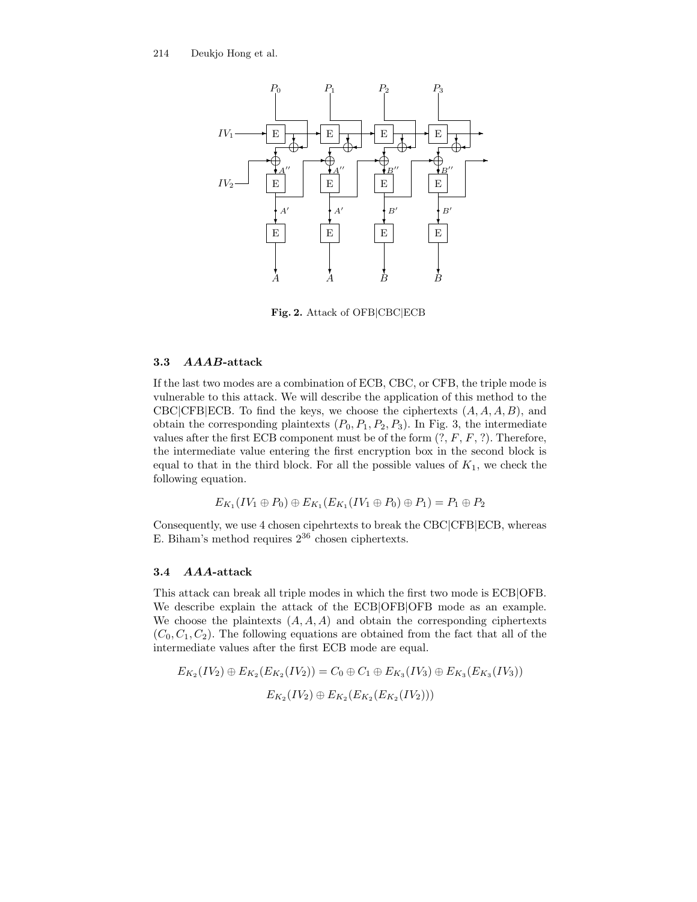

Fig. 2. Attack of OFB|CBC|ECB

#### 3.3 AAAB-attack

If the last two modes are a combination of ECB, CBC, or CFB, the triple mode is vulnerable to this attack. We will describe the application of this method to the CBC|CFB|ECB. To find the keys, we choose the ciphertexts  $(A, A, A, B)$ , and obtain the corresponding plaintexts  $(P_0, P_1, P_2, P_3)$ . In Fig. 3, the intermediate values after the first ECB component must be of the form  $(?, F, F, ?)$ . Therefore, the intermediate value entering the first encryption box in the second block is equal to that in the third block. For all the possible values of  $K_1$ , we check the following equation.

 $E_{K_1}(IV_1 \oplus P_0) \oplus E_{K_1}(E_{K_1}(IV_1 \oplus P_0) \oplus P_1) = P_1 \oplus P_2$ 

Consequently, we use 4 chosen cipehrtexts to break the CBC|CFB|ECB, whereas E. Biham's method requires  $2^{36}$  chosen ciphertexts.

## 3.4 AAA-attack

This attack can break all triple modes in which the first two mode is ECB|OFB. We describe explain the attack of the ECB|OFB|OFB mode as an example. We choose the plaintexts  $(A, A, A)$  and obtain the corresponding ciphertexts  $(C_0, C_1, C_2)$ . The following equations are obtained from the fact that all of the intermediate values after the first ECB mode are equal.

$$
E_{K_2}(IV_2) \oplus E_{K_2}(E_{K_2}(IV_2)) = C_0 \oplus C_1 \oplus E_{K_3}(IV_3) \oplus E_{K_3}(E_{K_3}(IV_3))
$$

$$
E_{K_2}(IV_2) \oplus E_{K_2}(E_{K_2}(E_{K_2}(IV_2)))
$$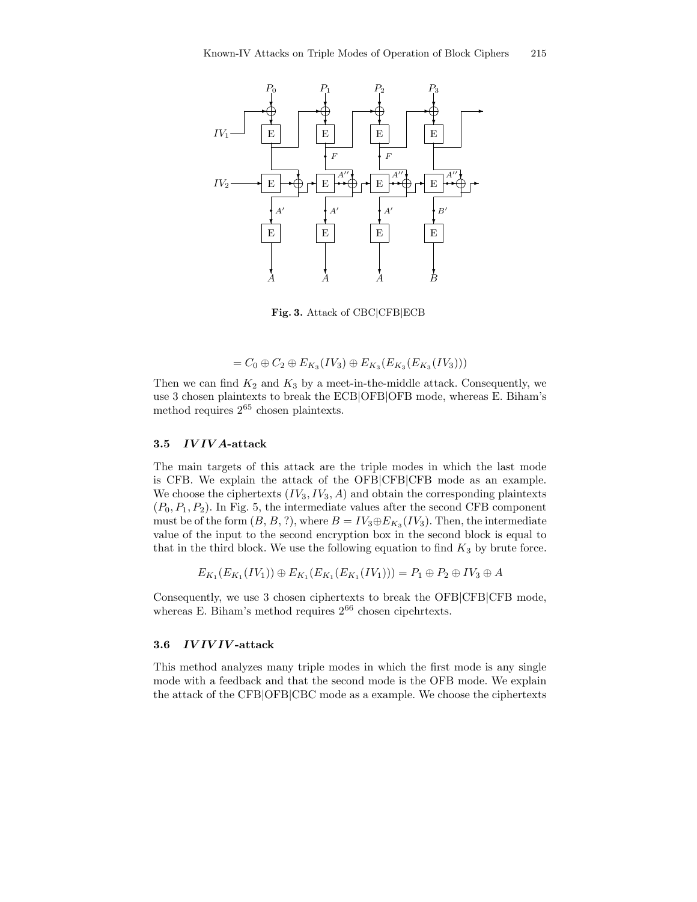

Fig. 3. Attack of CBC|CFB|ECB

$$
= C_0 \oplus C_2 \oplus E_{K_3}(IV_3) \oplus E_{K_3}(E_{K_3}(E_{K_3}(IV_3)))
$$

Then we can find  $K_2$  and  $K_3$  by a meet-in-the-middle attack. Consequently, we use 3 chosen plaintexts to break the ECB|OFB|OFB mode, whereas E. Biham's method requires  $2^{65}$  chosen plaintexts.

#### 3.5 IV IV A-attack

The main targets of this attack are the triple modes in which the last mode is CFB. We explain the attack of the OFB|CFB|CFB mode as an example. We choose the ciphertexts  $(IV_3, IV_3, A)$  and obtain the corresponding plaintexts  $(P_0, P_1, P_2)$ . In Fig. 5, the intermediate values after the second CFB component must be of the form  $(B, B, ?)$ , where  $B = IV_3 \oplus E_{K_3}(IV_3)$ . Then, the intermediate value of the input to the second encryption box in the second block is equal to that in the third block. We use the following equation to find  $K_3$  by brute force.

$$
E_{K_1}(E_{K_1}(IV_1)) \oplus E_{K_1}(E_{K_1}(E_{K_1}(IV_1))) = P_1 \oplus P_2 \oplus IV_3 \oplus A
$$

Consequently, we use 3 chosen ciphertexts to break the OFB|CFB|CFB mode, whereas E. Biham's method requires  $2^{66}$  chosen cipehrtexts.

# 3.6 IVIVIV-attack

This method analyzes many triple modes in which the first mode is any single mode with a feedback and that the second mode is the OFB mode. We explain the attack of the CFB|OFB|CBC mode as a example. We choose the ciphertexts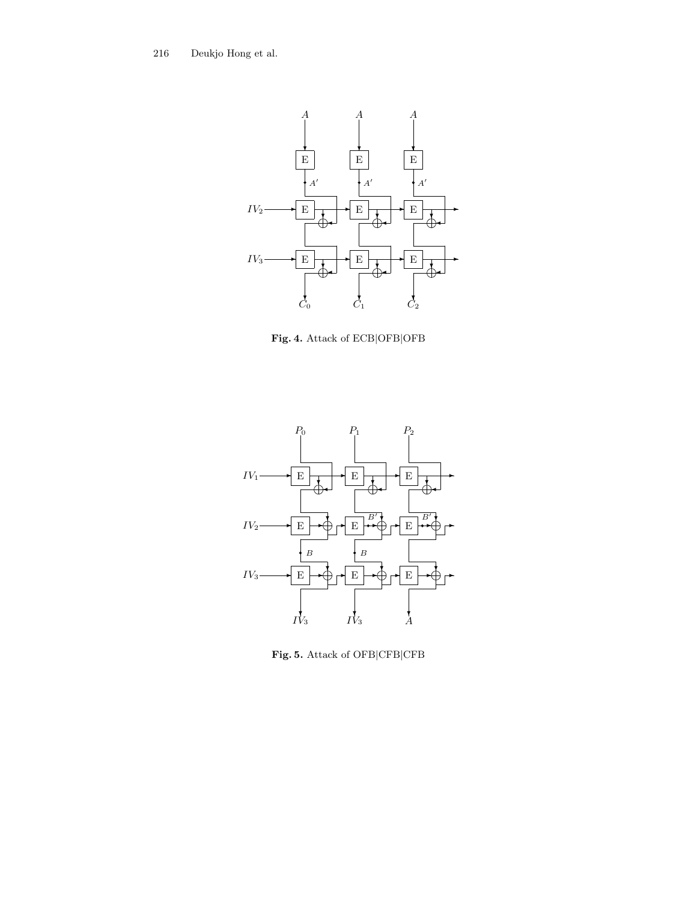216 Deukjo Hong et al.



Fig. 4. Attack of ECB|OFB|OFB



Fig. 5. Attack of OFB|CFB|CFB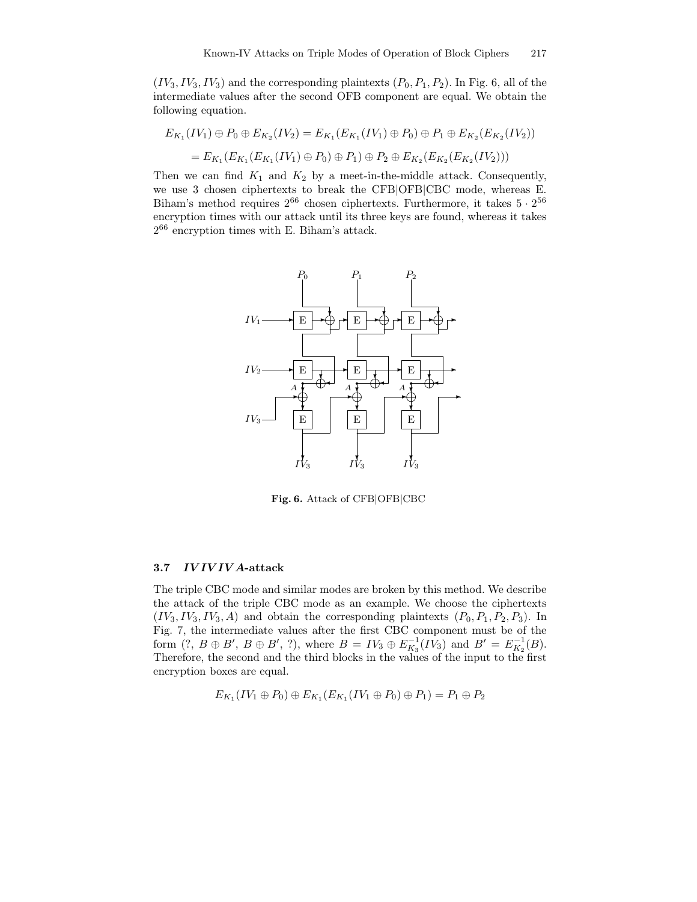$(IV_3, IV_3, IV_3)$  and the corresponding plaintexts  $(P_0, P_1, P_2)$ . In Fig. 6, all of the intermediate values after the second OFB component are equal. We obtain the following equation.

$$
E_{K_1}(IV_1) \oplus P_0 \oplus E_{K_2}(IV_2) = E_{K_1}(E_{K_1}(IV_1) \oplus P_0) \oplus P_1 \oplus E_{K_2}(E_{K_2}(IV_2))
$$
  
=  $E_{K_1}(E_{K_1}(E_{K_1}(IV_1) \oplus P_0) \oplus P_1) \oplus P_2 \oplus E_{K_2}(E_{K_2}(E_{K_2}(IV_2)))$ 

Then we can find  $K_1$  and  $K_2$  by a meet-in-the-middle attack. Consequently, we use 3 chosen ciphertexts to break the CFB|OFB|CBC mode, whereas E. Biham's method requires  $2^{66}$  chosen ciphertexts. Furthermore, it takes  $5 \cdot 2^{56}$ encryption times with our attack until its three keys are found, whereas it takes 2 <sup>66</sup> encryption times with E. Biham's attack.



Fig. 6. Attack of CFB|OFB|CBC

#### 3.7 IV IV IV A-attack

The triple CBC mode and similar modes are broken by this method. We describe the attack of the triple CBC mode as an example. We choose the ciphertexts  $(IV_3, IV_3, IV_3, A)$  and obtain the corresponding plaintexts  $(P_0, P_1, P_2, P_3)$ . In Fig. 7, the intermediate values after the first CBC component must be of the form  $(?, B \oplus B', B \oplus B', ?)$ , where  $B = IV_3 \oplus E_{K_3}^{-1}(IV_3)$  and  $B' = E_{K_2}^{-1}(B)$ . Therefore, the second and the third blocks in the values of the input to the first encryption boxes are equal.

$$
E_{K_1}(IV_1 \oplus P_0) \oplus E_{K_1}(E_{K_1}(IV_1 \oplus P_0) \oplus P_1) = P_1 \oplus P_2
$$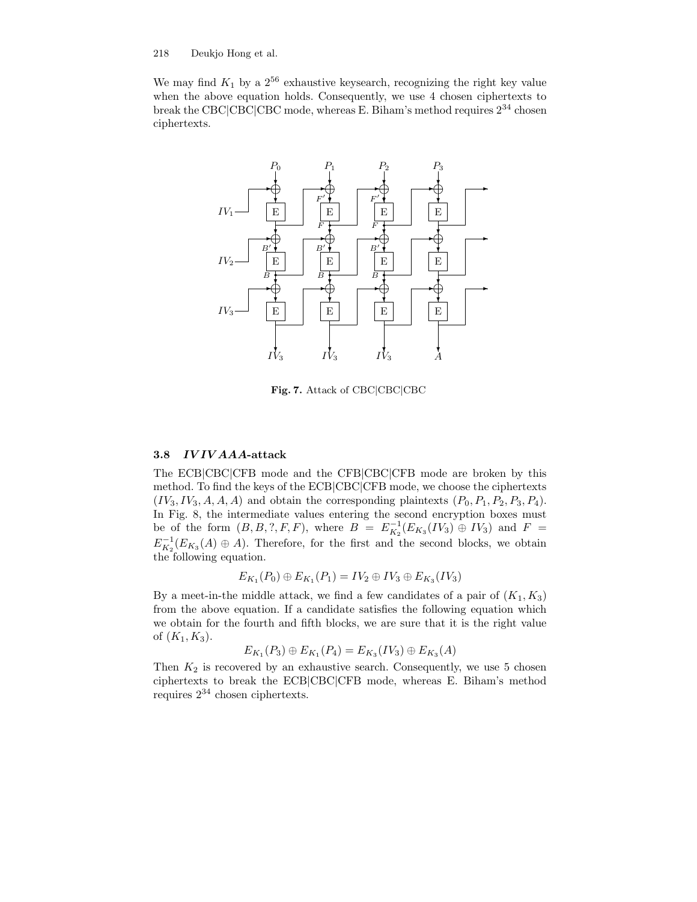#### 218 Deukjo Hong et al.

We may find  $K_1$  by a  $2^{56}$  exhaustive keysearch, recognizing the right key value when the above equation holds. Consequently, we use 4 chosen ciphertexts to break the CBC|CBC|CBC mode, whereas E. Biham's method requires  $2^{34}$  chosen ciphertexts.



Fig. 7. Attack of CBC|CBC|CBC

## 3.8 IV IV AAA-attack

The ECB|CBC|CFB mode and the CFB|CBC|CFB mode are broken by this method. To find the keys of the ECB|CBC|CFB mode, we choose the ciphertexts  $(IV_3, IV_3, A, A, A)$  and obtain the corresponding plaintexts  $(P_0, P_1, P_2, P_3, P_4)$ . In Fig. 8, the intermediate values entering the second encryption boxes must be of the form  $(B, B, ?, F, F)$ , where  $B = E_{K_2}^{-1}(E_{K_3}(IV_3) \oplus IV_3)$  and  $F =$  $E_{K_2}^{-1}(E_{K_3}(A) \oplus A)$ . Therefore, for the first and the second blocks, we obtain the following equation.

$$
E_{K_1}(P_0) \oplus E_{K_1}(P_1) = IV_2 \oplus IV_3 \oplus E_{K_3}(IV_3)
$$

By a meet-in-the middle attack, we find a few candidates of a pair of  $(K_1, K_3)$ from the above equation. If a candidate satisfies the following equation which we obtain for the fourth and fifth blocks, we are sure that it is the right value of  $(K_1, K_3)$ .

$$
E_{K_1}(P_3) \oplus E_{K_1}(P_4) = E_{K_3}(IV_3) \oplus E_{K_3}(A)
$$

Then  $K_2$  is recovered by an exhaustive search. Consequently, we use 5 chosen ciphertexts to break the ECB|CBC|CFB mode, whereas E. Biham's method requires 2 <sup>34</sup> chosen ciphertexts.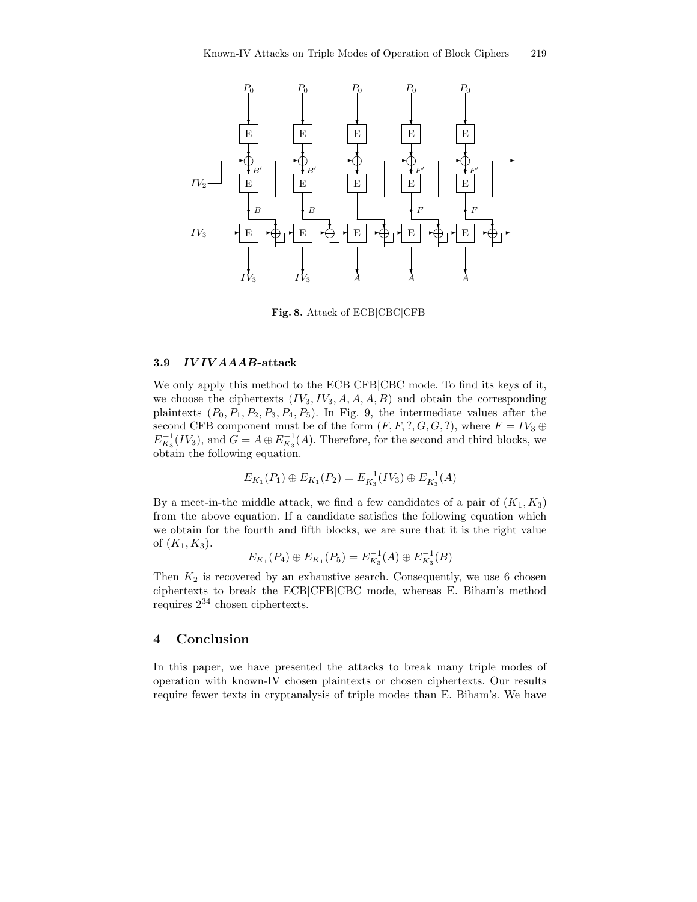

Fig. 8. Attack of ECB|CBC|CFB

## 3.9 IV IV AAAB-attack

We only apply this method to the ECB|CFB|CBC mode. To find its keys of it, we choose the ciphertexts  $(IV_3, IV_3, A, A, A, B)$  and obtain the corresponding plaintexts  $(P_0, P_1, P_2, P_3, P_4, P_5)$ . In Fig. 9, the intermediate values after the second CFB component must be of the form  $(F, F, ?, G, G, ?)$ , where  $F = IV_3 \oplus$  $E_{K_3}^{-1}(IV_3)$ , and  $G = A \oplus E_{K_3}^{-1}(A)$ . Therefore, for the second and third blocks, we obtain the following equation.

$$
E_{K_1}(P_1) \oplus E_{K_1}(P_2) = E_{K_3}^{-1}(IV_3) \oplus E_{K_3}^{-1}(A)
$$

By a meet-in-the middle attack, we find a few candidates of a pair of  $(K_1, K_3)$ from the above equation. If a candidate satisfies the following equation which we obtain for the fourth and fifth blocks, we are sure that it is the right value of  $(K_1, K_3)$ .

$$
E_{K_1}(P_4) \oplus E_{K_1}(P_5) = E_{K_3}^{-1}(A) \oplus E_{K_3}^{-1}(B)
$$

Then  $K_2$  is recovered by an exhaustive search. Consequently, we use 6 chosen ciphertexts to break the ECB|CFB|CBC mode, whereas E. Biham's method requires 2 <sup>34</sup> chosen ciphertexts.

## 4 Conclusion

In this paper, we have presented the attacks to break many triple modes of operation with known-IV chosen plaintexts or chosen ciphertexts. Our results require fewer texts in cryptanalysis of triple modes than E. Biham's. We have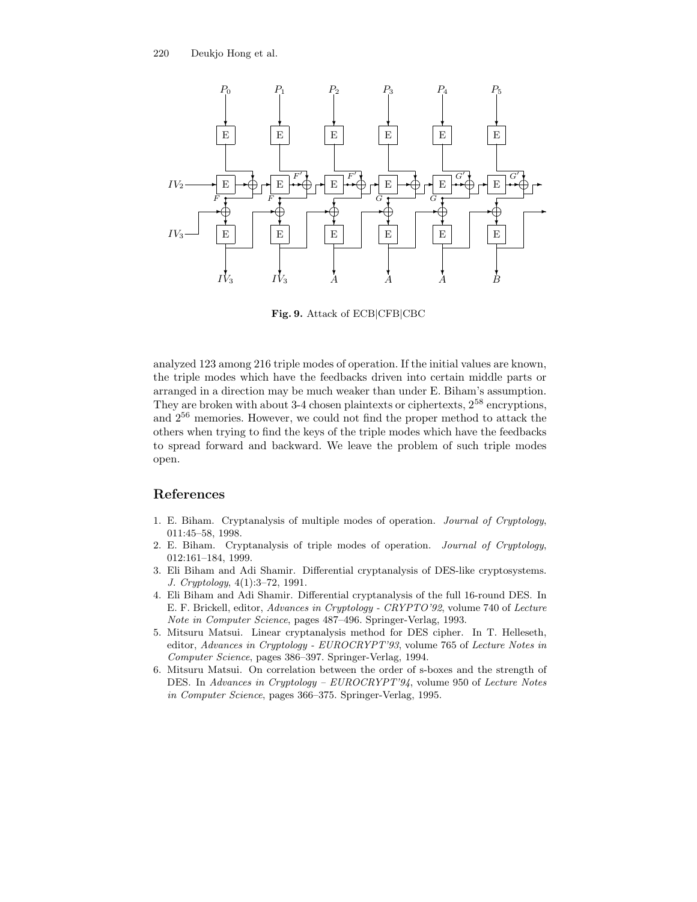

Fig. 9. Attack of ECB|CFB|CBC

analyzed 123 among 216 triple modes of operation. If the initial values are known, the triple modes which have the feedbacks driven into certain middle parts or arranged in a direction may be much weaker than under E. Biham's assumption. They are broken with about 3-4 chosen plaintexts or ciphertexts,  $2^{58}$  encryptions, and 2 <sup>56</sup> memories. However, we could not find the proper method to attack the others when trying to find the keys of the triple modes which have the feedbacks to spread forward and backward. We leave the problem of such triple modes open.

# References

- 1. E. Biham. Cryptanalysis of multiple modes of operation. Journal of Cryptology, 011:45–58, 1998.
- 2. E. Biham. Cryptanalysis of triple modes of operation. Journal of Cryptology, 012:161–184, 1999.
- 3. Eli Biham and Adi Shamir. Differential cryptanalysis of DES-like cryptosystems. J. Cryptology, 4(1):3–72, 1991.
- 4. Eli Biham and Adi Shamir. Differential cryptanalysis of the full 16-round DES. In E. F. Brickell, editor, Advances in Cryptology - CRYPTO'92, volume 740 of Lecture Note in Computer Science, pages 487–496. Springer-Verlag, 1993.
- 5. Mitsuru Matsui. Linear cryptanalysis method for DES cipher. In T. Helleseth, editor, Advances in Cryptology - EUROCRYPT'93, volume 765 of Lecture Notes in Computer Science, pages 386–397. Springer-Verlag, 1994.
- 6. Mitsuru Matsui. On correlation between the order of s-boxes and the strength of DES. In Advances in Cryptology – EUROCRYPT'94, volume 950 of Lecture Notes in Computer Science, pages 366–375. Springer-Verlag, 1995.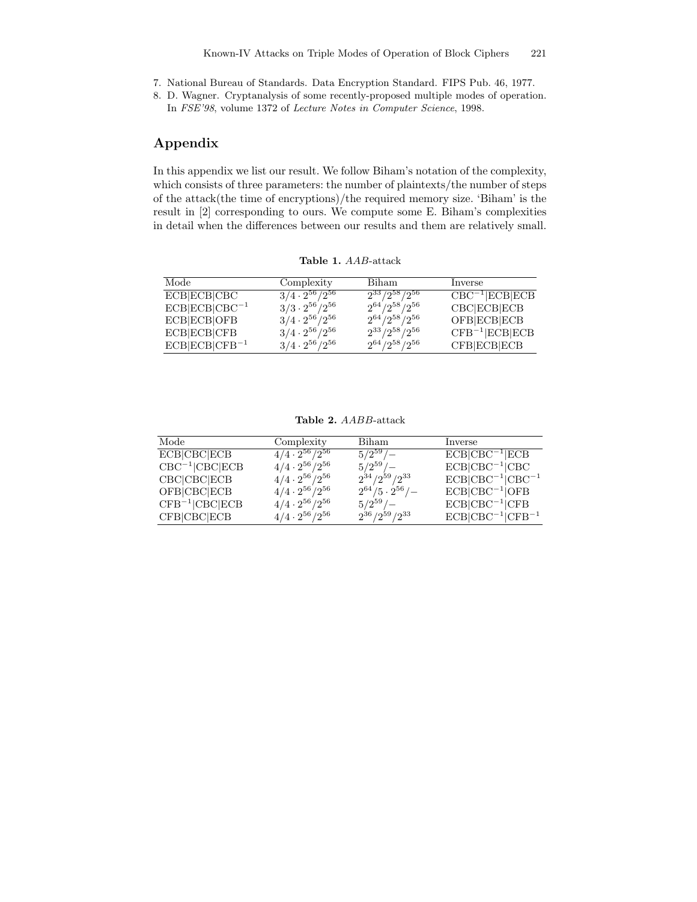7. National Bureau of Standards. Data Encryption Standard. FIPS Pub. 46, 1977.

8. D. Wagner. Cryptanalysis of some recently-proposed multiple modes of operation. In FSE'98, volume 1372 of Lecture Notes in Computer Science, 1998.

# Appendix

In this appendix we list our result. We follow Biham's notation of the complexity, which consists of three parameters: the number of plaintexts/the number of steps of the attack(the time of encryptions)/the required memory size. 'Biham' is the result in [2] corresponding to ours. We compute some E. Biham's complexities in detail when the differences between our results and them are relatively small.

Table 1. AAB-attack

| Mode               | Complexity                        | Biham                  | Inverse                |
|--------------------|-----------------------------------|------------------------|------------------------|
| <b>ECB</b> ECBICBC | $\frac{3}{4} \cdot 2^{56}/2^{56}$ | $2^{33}/2^{58}/2^{56}$ | $CBC^{-1}$ ECB ECB     |
| $ECB CCB CBC^{-1}$ | $3/3 \cdot 2^{56}/2^{56}$         | $2^{64}/2^{58}/2^{56}$ | CBC ECB ECB            |
| ECB ECB OFB        | $3/4 \cdot 2^{56}/2^{56}$         | $2^{64}/2^{58}/2^{56}$ | OFB ECB ECB            |
| <b>ECB</b> ECBICFB | $3/4 \cdot 2^{56}/2^{56}$         | $2^{33}/2^{58}/2^{56}$ | $CFB^{-1}$ $ECB$ $ECB$ |
| $ECB CCB CFB^{-1}$ | $3/4 \cdot 2^{56}/2^{56}$         | $2^{64}/2^{58}/2^{56}$ | <b>CFB</b> ECBECB      |

Table 2. AABB-attack

| Mode                  | Complexity                | Biham                     | Inverse                 |
|-----------------------|---------------------------|---------------------------|-------------------------|
| $\overline{ECB CCB}$  | $4/4 \cdot 2^{56}/2^{56}$ | $5/2^{59}/-$              | $ECB CBC^{-1} ECB$      |
| $CBC^{-1}$ $ CBC ECB$ | $4/4 \cdot 2^{56}/2^{56}$ | $5/2^{59}/-$              | $ECB CBC^{-1} CBC$      |
| CBC CBC ECB           | $4/4 \cdot 2^{56}/2^{56}$ | $2^{34}/2^{59}/2^{33}$    | $ECB CBC^{-1} CBC^{-1}$ |
| OFB CBC ECB           | $4/4 \cdot 2^{56}/2^{56}$ | $2^{64}/5 \cdot 2^{56}/-$ | $ECB CBC^{-1} OFB$      |
| $CFB^{-1}$ CBC ECB    | $4/4 \cdot 2^{56}/2^{56}$ | $5/2^{59}/-$              | $ECB CBC^{-1} CFB$      |
| CFB CBC ECB           | $4/4 \cdot 2^{56}/2^{56}$ | $2^{36}/2^{59}/2^{33}$    | $ECB CBC^{-1} CFB^{-1}$ |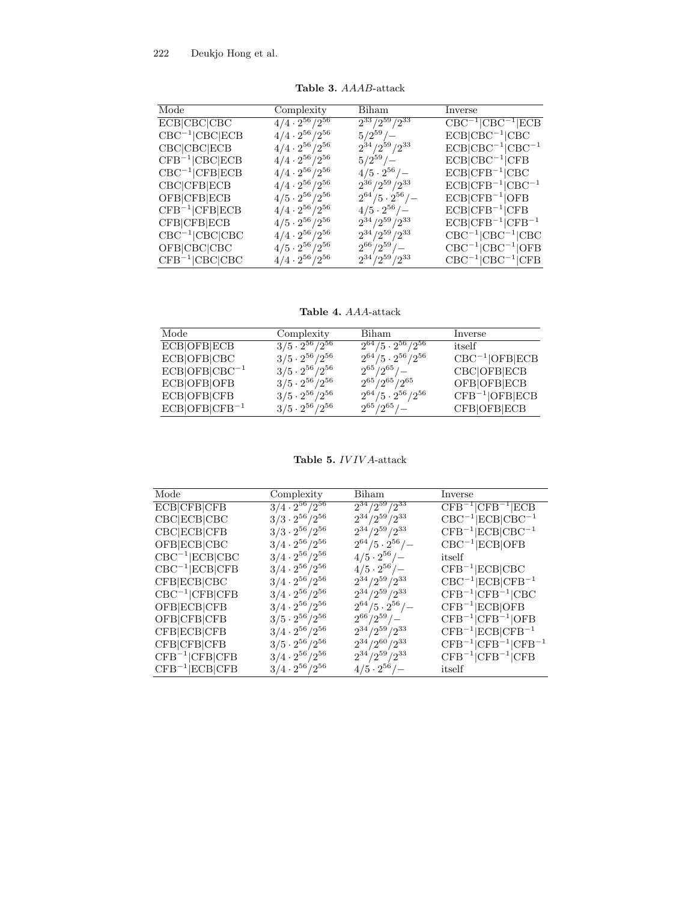| Mode               | Complexity                | Biham                     | Inverse                                          |
|--------------------|---------------------------|---------------------------|--------------------------------------------------|
| ECB CBC CBC        | $4/4\cdot 2^{56}/2^{56}$  | $2^{33}/2^{59}/2^{33}$    | $CBC^{-1}$ $ CBC^{-1} ECB$                       |
| $CBC^{-1}$ CBC ECB | $4/4 \cdot 2^{56}/2^{56}$ | $5/2^{59}/-$              | $ECB CBC^{-1} CBC$                               |
| CBC CBC ECB        | $4/4 \cdot 2^{56}/2^{56}$ | $2^{34}/2^{59}/2^{33}$    | $ECB CBC^{-1} CBC^{-1}$                          |
| $CFB^{-1}$ CBC ECB | $4/4 \cdot 2^{56}/2^{56}$ | $5/2^{59}/-$              | $ECB CBC^{-1} CFB$                               |
| $CBC^{-1}$ CFB ECB | $4/4 \cdot 2^{56}/2^{56}$ | $4/5 \cdot 2^{56}/-$      | $ECB CFB^{-1} CBC$                               |
| CBC CFB ECB        | $4/4 \cdot 2^{56}/2^{56}$ | $2^{36}/2^{59}/2^{33}$    | $ECB CFB^{-1} CBC^{-1}$                          |
| OFB CFB ECB        | $4/5 \cdot 2^{56}/2^{56}$ | $2^{64}/5 \cdot 2^{56}/-$ | $ECB CFB^{-1} OFB$                               |
| $CFB^{-1}$ CFB ECB | $4/4 \cdot 2^{56}/2^{56}$ | $4/5 \cdot 2^{56}/-$      | $ECB CFB^{-1} CFB$                               |
| CFB CFB ECB        | $4/5 \cdot 2^{56}/2^{56}$ | $2^{34}/2^{59}/2^{33}$    | $ECB CFB^{-1} CFB^{-1}$                          |
| $CBC^{-1}$ CBC CBC | $4/4 \cdot 2^{56}/2^{56}$ | $2^{34}/2^{59}/2^{33}$    | $CBC^{-1}$ $\vert CBC^{-1}$ $\vert CBC$          |
| OFB CBC CBC        | $4/5 \cdot 2^{56}/2^{56}$ | $2^{66}/2^{59}/-$         | $CBC^{-1}$ $\vert$ CBC <sup>-1</sup> $\vert$ OFB |
| $CFB^{-1}$ CBC CBC | $4/4 \cdot 2^{56}/2^{56}$ | $2^{34}/2^{59}/2^{33}$    | $CBC^{-1}$ $\left  CBC^{-1} \right  CFB$         |

Table 3. AAAB-attack

Table 4. AAA-attack

| Mode                | Complexity                | Biham                          | Inverse                |
|---------------------|---------------------------|--------------------------------|------------------------|
| <b>ECB</b>  OFB ECB | $3/5 \cdot 2^{56}/2^{56}$ | $2^{64}/5 \cdot 2^{56}/2^{56}$ | itself                 |
| ECB OFB CBC         | $3/5 \cdot 2^{56}/2^{56}$ | $2^{64}/5 \cdot 2^{56}/2^{56}$ | $CBC^{-1}$ [OFB]ECB    |
| $ECB OFB CBC^{-1}$  | $3/5 \cdot 2^{56}/2^{56}$ | $2^{65}/2^{65}/-$              | CBC OFB ECB            |
| ECB OFB OFB         | $3/5 \cdot 2^{56}/2^{56}$ | $2^{65}/2^{65}/2^{65}$         | OFB OFB ECB            |
| <b>ECB</b> OFB CFB  | $3/5 \cdot 2^{56}/2^{56}$ | $2^{64}/5 \cdot 2^{56}/2^{56}$ | $CFB^{-1}$   OFB   ECB |
| $ECB OFB CFB-1$     | $3/5 \cdot 2^{56}/2^{56}$ | $2^{65}/2^{65}/-$              | <b>CFB</b>  OFB ECB    |

Table 5. IVIVA-attack

| Mode                   | Complexity                | Biham                     | Inverse                          |
|------------------------|---------------------------|---------------------------|----------------------------------|
| ECB CFB CFB            | $3/4\cdot 2^{56}/2^{56}$  | $2^{34}/2^{59}/2^{33}$    | $CFB^{-1}$ $CFB^{-1}$ $ECB$      |
| CBC ECB CBC            | $3/3 \cdot 2^{56}/2^{56}$ | $2^{34}/2^{59}/2^{33}$    | $CBC^{-1}$ $ECB$ $CBC^{-1}$      |
| CBC ECB CFB            | $3/3 \cdot 2^{56}/2^{56}$ | $2^{34}/2^{59}/2^{33}$    | $CFB^{-1}$ $ ECB CBC^{-1}$       |
| OFB ECB CBC            | $3/4 \cdot 2^{56}/2^{56}$ | $2^{64}/5 \cdot 2^{56}/-$ | $CBC^{-1}$ ECB OFB               |
| $CBC^{-1}$ $ECB$ $CBC$ | $3/4 \cdot 2^{56}/2^{56}$ | $4/5 \cdot 2^{56}/-$      | itself                           |
| $CBC^{-1}$ $ECB$ $CFB$ | $3/4 \cdot 2^{56}/2^{56}$ | $4/5 \cdot 2^{56}/-$      | $CFB^{-1}$ $ECB$ $CBC$           |
| CFB ECB CBC            | $3/4 \cdot 2^{56}/2^{56}$ | $2^{34}/2^{59}/2^{33}$    | $CBC^{-1}$ $ ECB CFB^{-1}$       |
| $CBC^{-1}$ CFB CFB     | $3/4 \cdot 2^{56}/2^{56}$ | $2^{34}/2^{59}/2^{33}$    | $CFB^{-1}$ $CFB^{-1}$ $CBC$      |
| OFB ECB CFB            | $3/4 \cdot 2^{56}/2^{56}$ | $2^{64}/5 \cdot 2^{56}/-$ | $CFB^{-1}$ $ECB$ $OFB$           |
| OFB CFB CFB            | $3/5 \cdot 2^{56}/2^{56}$ | $2^{66}/2^{59}/-$         | $CFB^{-1}$ $CFB^{-1}$ $OFB$      |
| CFB ECB CFB            | $3/4 \cdot 2^{56}/2^{56}$ | $2^{34}/2^{59}/2^{33}$    | $CFB^{-1}$ $ ECB CFB^{-1}$       |
| CFB CFB CFB            | $3/5 \cdot 2^{56}/2^{56}$ | $2^{34}/2^{60}/2^{33}$    | $CFB^{-1}$ $CFB^{-1}$ $CFB^{-1}$ |
| $CFB^{-1}$ CFB CFB     | $3/4 \cdot 2^{56}/2^{56}$ | $2^{34}/2^{59}/2^{33}$    | $CFB^{-1}$ $CFB^{-1}$ $CFB$      |
| $CFB^{-1}$ $ECB$ $CFB$ | $3/4 \cdot 2^{56}/2^{56}$ | $4/5 \cdot 2^{56}/-$      | itself                           |